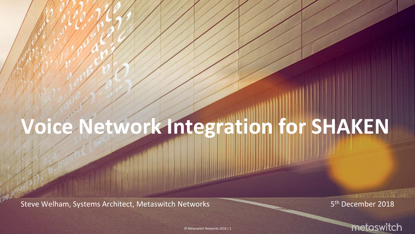# **Voice Network Integration for SHAKEN**

Steve Welham, Systems Architect, Metaswitch Networks

5<sup>th</sup> December 2018



**MARIE AND AND A** 

© Metaswitch Networks 2018 | 1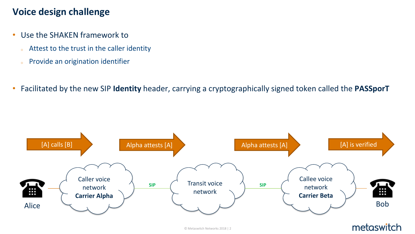### **Voice design challenge**

- Use the SHAKEN framework to
	- <sup>o</sup> Attest to the trust in the caller identity
	- <sup>o</sup> Provide an origination identifier
- Facilitated by the new SIP **Identity** header, carrying a cryptographically signed token called the **PASSporT**

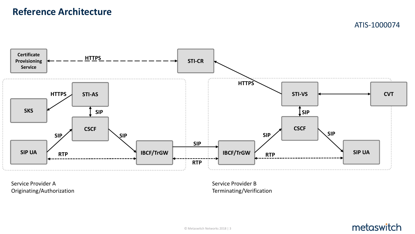### **Reference Architecture**

ATIS-1000074



Service Provider A Originating/Authorization Service Provider B Terminating/Verification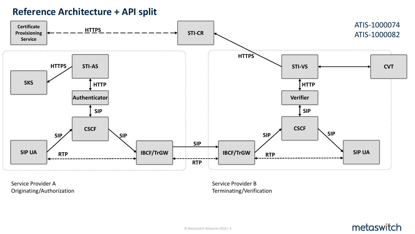### **Reference Architecture + API split**



Service Provider A Originating/Authorization Service Provider B Terminating/Verification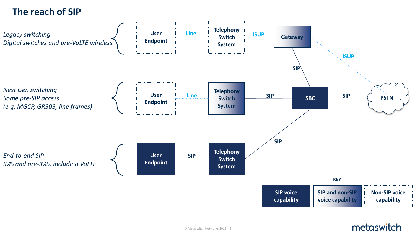### **The reach of SIP**

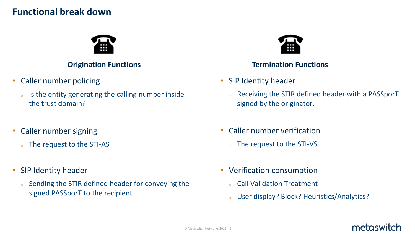### **Functional break down**



- Caller number policing
	- <sup>o</sup> Is the entity generating the calling number inside the trust domain?
- Caller number signing
	- <sup>o</sup> The request to the STI-AS
- SIP Identity header
	- <sup>o</sup> Sending the STIR defined header for conveying the signed PASSporT to the recipient



### **Origination Functions Termination Functions**

- SIP Identity header
	- <sup>o</sup> Receiving the STIR defined header with a PASSporT signed by the originator.
- Caller number verification
	- <sup>o</sup> The request to the STI-VS
- Verification consumption
	- **Call Validation Treatment**
	- <sup>o</sup> User display? Block? Heuristics/Analytics?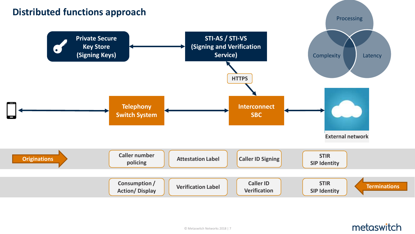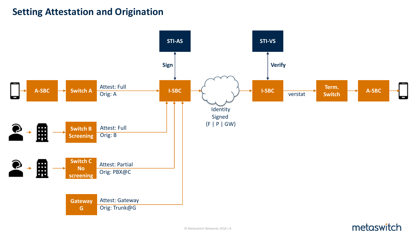### **Setting Attestation and Origination**

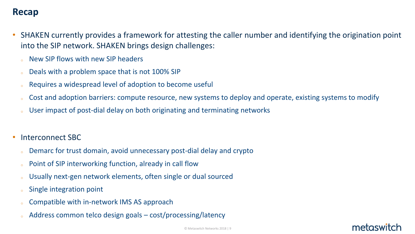### **Recap**

- SHAKEN currently provides a framework for attesting the caller number and identifying the origination point into the SIP network. SHAKEN brings design challenges:
	- New SIP flows with new SIP headers
	- Deals with a problem space that is not 100% SIP
	- Requires a widespread level of adoption to become useful
	- Cost and adoption barriers: compute resource, new systems to deploy and operate, existing systems to modify
	- User impact of post-dial delay on both originating and terminating networks
- Interconnect SBC
	- Demarc for trust domain, avoid unnecessary post-dial delay and crypto
	- Point of SIP interworking function, already in call flow
	- Usually next-gen network elements, often single or dual sourced
	- Single integration point
	- Compatible with in-network IMS AS approach
	- Address common telco design goals  $-$  cost/processing/latency

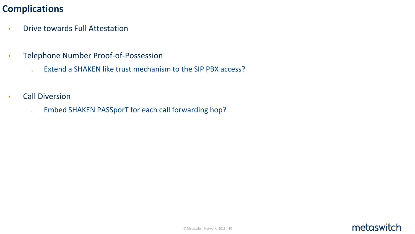### **Complications**

- Drive towards Full Attestation
- Telephone Number Proof-of-Possession
	- a Extend a SHAKEN like trust mechanism to the SIP PBX access?
- Call Diversion
	- . Embed SHAKEN PASSporT for each call forwarding hop?